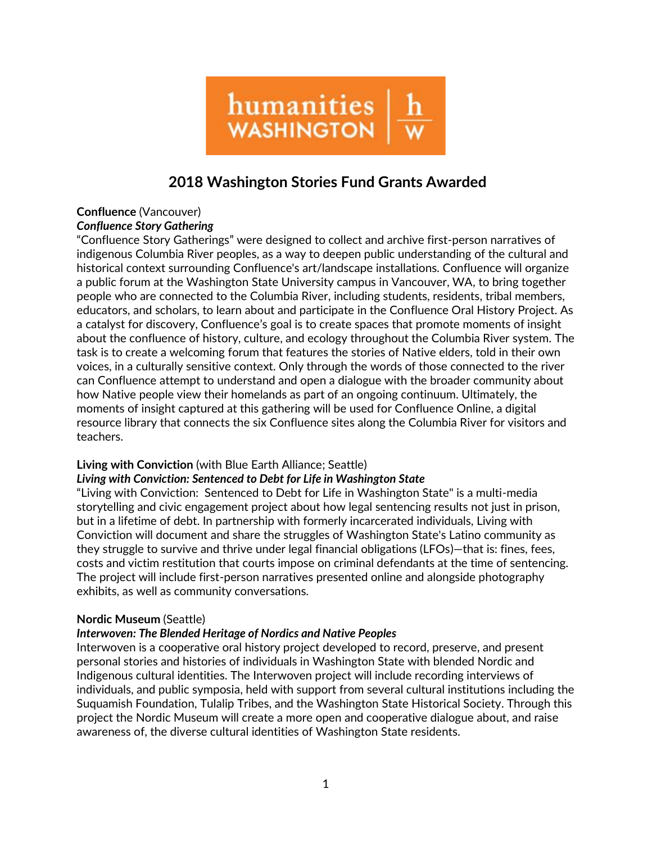

# **2018 Washington Stories Fund Grants Awarded**

### **Confluence** (Vancouver) *Confluence Story Gathering*

"Confluence Story Gatherings" were designed to collect and archive first-person narratives of indigenous Columbia River peoples, as a way to deepen public understanding of the cultural and historical context surrounding Confluence's art/landscape installations. Confluence will organize a public forum at the Washington State University campus in Vancouver, WA, to bring together people who are connected to the Columbia River, including students, residents, tribal members, educators, and scholars, to learn about and participate in the Confluence Oral History Project. As a catalyst for discovery, Confluence's goal is to create spaces that promote moments of insight about the confluence of history, culture, and ecology throughout the Columbia River system. The task is to create a welcoming forum that features the stories of Native elders, told in their own voices, in a culturally sensitive context. Only through the words of those connected to the river can Confluence attempt to understand and open a dialogue with the broader community about how Native people view their homelands as part of an ongoing continuum. Ultimately, the moments of insight captured at this gathering will be used for Confluence Online, a digital resource library that connects the six Confluence sites along the Columbia River for visitors and teachers.

## **Living with Conviction** (with Blue Earth Alliance; Seattle)

#### *Living with Conviction: Sentenced to Debt for Life in Washington State*

"Living with Conviction: Sentenced to Debt for Life in Washington State" is a multi-media storytelling and civic engagement project about how legal sentencing results not just in prison, but in a lifetime of debt. In partnership with formerly incarcerated individuals, Living with Conviction will document and share the struggles of Washington State's Latino community as they struggle to survive and thrive under legal financial obligations (LFOs)—that is: fines, fees, costs and victim restitution that courts impose on criminal defendants at the time of sentencing. The project will include first-person narratives presented online and alongside photography exhibits, as well as community conversations.

#### **Nordic Museum** (Seattle)

#### *Interwoven: The Blended Heritage of Nordics and Native Peoples*

Interwoven is a cooperative oral history project developed to record, preserve, and present personal stories and histories of individuals in Washington State with blended Nordic and Indigenous cultural identities. The Interwoven project will include recording interviews of individuals, and public symposia, held with support from several cultural institutions including the Suquamish Foundation, Tulalip Tribes, and the Washington State Historical Society. Through this project the Nordic Museum will create a more open and cooperative dialogue about, and raise awareness of, the diverse cultural identities of Washington State residents.